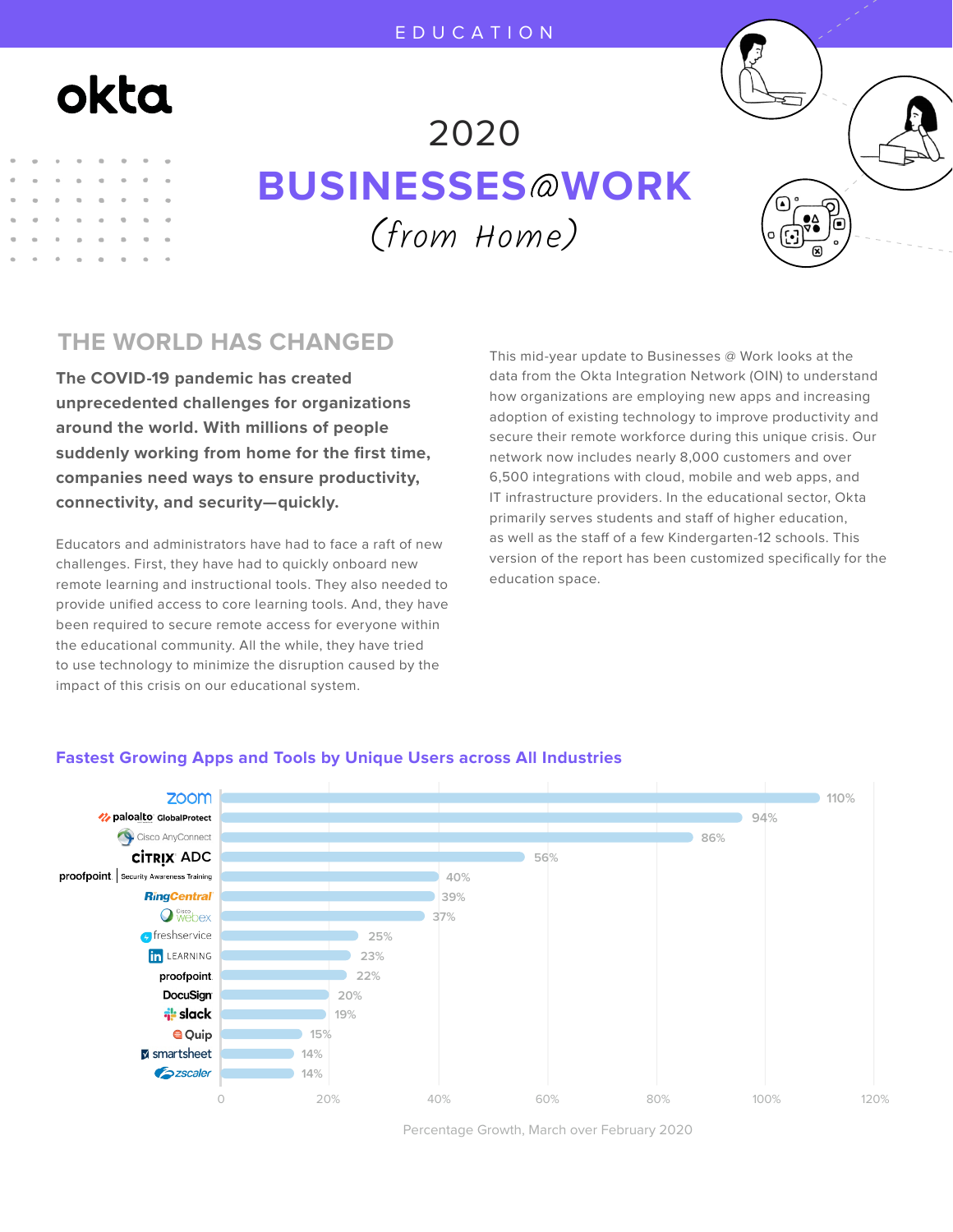# okta

## (from Home) 2020 **BUSINESSES WORK**



**The COVID-19 pandemic has created unprecedented challenges for organizations around the world. With millions of people suddenly working from home for the first time, companies need ways to ensure productivity, connectivity, and security—quickly.** 

Educators and administrators have had to face a raft of new challenges. First, they have had to quickly onboard new remote learning and instructional tools. They also needed to provide unified access to core learning tools. And, they have been required to secure remote access for everyone within the educational community. All the while, they have tried to use technology to minimize the disruption caused by the impact of this crisis on our educational system.

This mid-year update to Businesses @ Work looks at the data from the Okta Integration Network (OIN) to understand how organizations are employing new apps and increasing adoption of existing technology to improve productivity and secure their remote workforce during this unique crisis. Our network now includes nearly 8,000 customers and over 6,500 integrations with cloud, mobile and web apps, and IT infrastructure providers. In the educational sector, Okta primarily serves students and staff of higher education, as well as the staff of a few Kindergarten-12 schools. This version of the report has been customized specifically for the education space.



#### **Fastest Growing Apps and Tools by Unique Users across All Industries**

Percentage Growth, March over February 2020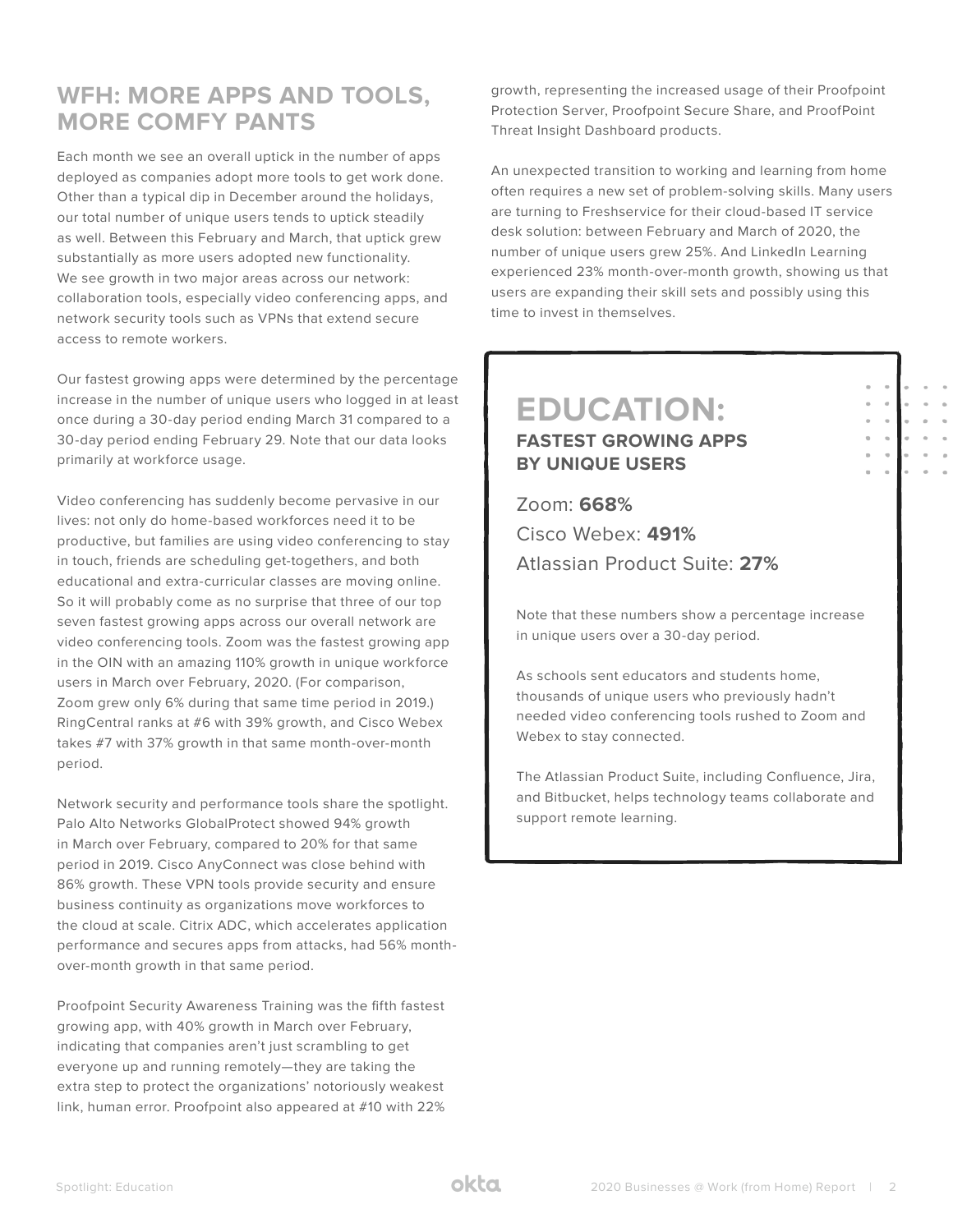## **WFH: MORE APPS AND TOOLS, MORE COMFY PANTS**

Each month we see an overall uptick in the number of apps deployed as companies adopt more tools to get work done. Other than a typical dip in December around the holidays, our total number of unique users tends to uptick steadily as well. Between this February and March, that uptick grew substantially as more users adopted new functionality. We see growth in two major areas across our network: collaboration tools, especially video conferencing apps, and network security tools such as VPNs that extend secure access to remote workers.

Our fastest growing apps were determined by the percentage increase in the number of unique users who logged in at least once during a 30-day period ending March 31 compared to a 30-day period ending February 29. Note that our data looks primarily at workforce usage.

Video conferencing has suddenly become pervasive in our lives: not only do home-based workforces need it to be productive, but families are using video conferencing to stay in touch, friends are scheduling get-togethers, and both educational and extra-curricular classes are moving online. So it will probably come as no surprise that three of our top seven fastest growing apps across our overall network are video conferencing tools. Zoom was the fastest growing app in the OIN with an amazing 110% growth in unique workforce users in March over February, 2020. (For comparison, Zoom grew only 6% during that same time period in 2019.) RingCentral ranks at #6 with 39% growth, and Cisco Webex takes #7 with 37% growth in that same month-over-month period.

Network security and performance tools share the spotlight. Palo Alto Networks GlobalProtect showed 94% growth in March over February, compared to 20% for that same period in 2019. Cisco AnyConnect was close behind with 86% growth. These VPN tools provide security and ensure business continuity as organizations move workforces to the cloud at scale. Citrix ADC, which accelerates application performance and secures apps from attacks, had 56% monthover-month growth in that same period.

Proofpoint Security Awareness Training was the fifth fastest growing app, with 40% growth in March over February, indicating that companies aren't just scrambling to get everyone up and running remotely—they are taking the extra step to protect the organizations' notoriously weakest link, human error. Proofpoint also appeared at #10 with 22%

growth, representing the increased usage of their Proofpoint Protection Server, Proofpoint Secure Share, and ProofPoint Threat Insight Dashboard products.

An unexpected transition to working and learning from home often requires a new set of problem-solving skills. Many users are turning to Freshservice for their cloud-based IT service desk solution: between February and March of 2020, the number of unique users grew 25%. And LinkedIn Learning experienced 23% month-over-month growth, showing us that users are expanding their skill sets and possibly using this time to invest in themselves.

> $\bar{a}$  $\hat{\theta}$  $\bar{a}$  $\alpha$  $\sim$

### **EDUCATION: FASTEST GROWING APPS BY UNIQUE USERS**

Zoom: **668%** Cisco Webex: **491%** Atlassian Product Suite: **27%**

Note that these numbers show a percentage increase in unique users over a 30-day period.

As schools sent educators and students home, thousands of unique users who previously hadn't needed video conferencing tools rushed to Zoom and Webex to stay connected.

The Atlassian Product Suite, including Confluence, Jira, and Bitbucket, helps technology teams collaborate and support remote learning.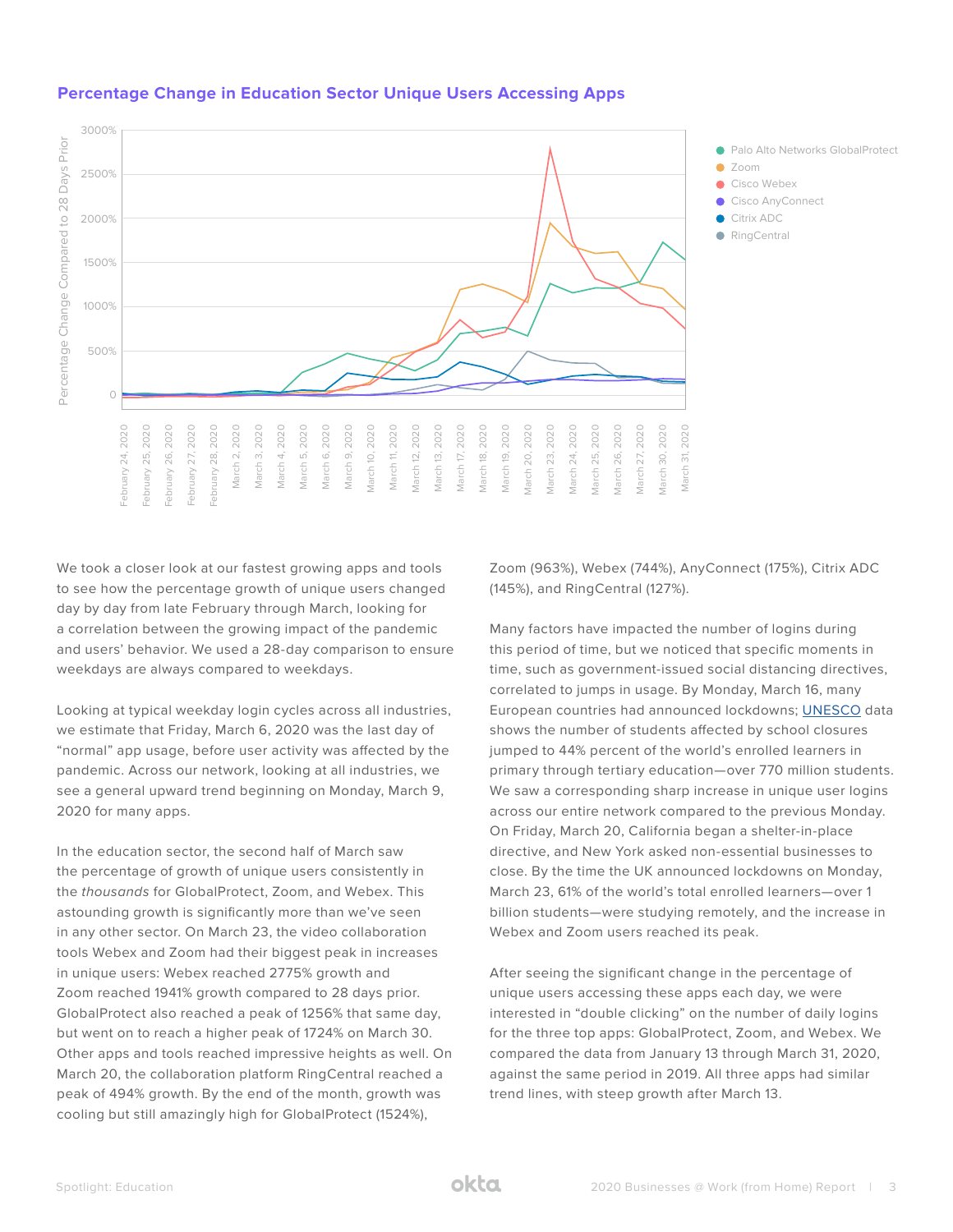

#### **Percentage Change in Education Sector Unique Users Accessing Apps**

We took a closer look at our fastest growing apps and tools to see how the percentage growth of unique users changed day by day from late February through March, looking for a correlation between the growing impact of the pandemic and users' behavior. We used a 28-day comparison to ensure weekdays are always compared to weekdays.

Looking at typical weekday login cycles across all industries, we estimate that Friday, March 6, 2020 was the last day of "normal" app usage, before user activity was affected by the pandemic. Across our network, looking at all industries, we see a general upward trend beginning on Monday, March 9, 2020 for many apps.

In the education sector, the second half of March saw the percentage of growth of unique users consistently in the thousands for GlobalProtect, Zoom, and Webex. This astounding growth is significantly more than we've seen in any other sector. On March 23, the video collaboration tools Webex and Zoom had their biggest peak in increases in unique users: Webex reached 2775% growth and Zoom reached 1941% growth compared to 28 days prior. GlobalProtect also reached a peak of 1256% that same day, but went on to reach a higher peak of 1724% on March 30. Other apps and tools reached impressive heights as well. On March 20, the collaboration platform RingCentral reached a peak of 494% growth. By the end of the month, growth was cooling but still amazingly high for GlobalProtect (1524%),

Zoom (963%), Webex (744%), AnyConnect (175%), Citrix ADC (145%), and RingCentral (127%).

Many factors have impacted the number of logins during this period of time, but we noticed that specific moments in time, such as government-issued social distancing directives, correlated to jumps in usage. By Monday, March 16, many European countries had announced lockdowns; [UNESCO](https://en.unesco.org/covid19/educationresponse) data shows the number of students affected by school closures jumped to 44% percent of the world's enrolled learners in primary through tertiary education—over 770 million students. We saw a corresponding sharp increase in unique user logins across our entire network compared to the previous Monday. On Friday, March 20, California began a shelter-in-place directive, and New York asked non-essential businesses to close. By the time the UK announced lockdowns on Monday, March 23, 61% of the world's total enrolled learners—over 1 billion students—were studying remotely, and the increase in Webex and Zoom users reached its peak.

After seeing the significant change in the percentage of unique users accessing these apps each day, we were interested in "double clicking" on the number of daily logins for the three top apps: GlobalProtect, Zoom, and Webex. We compared the data from January 13 through March 31, 2020, against the same period in 2019. All three apps had similar trend lines, with steep growth after March 13.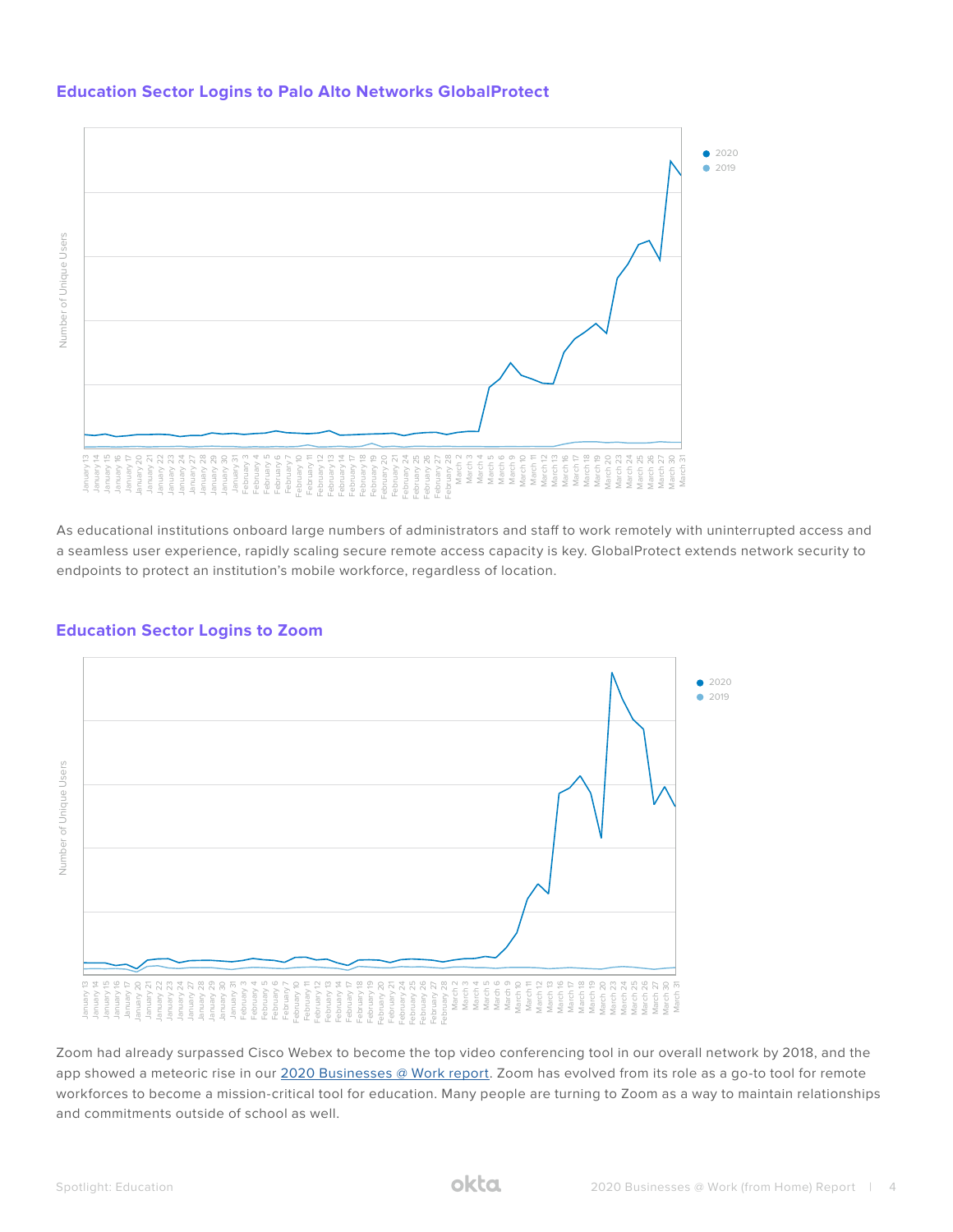#### **Education Sector Logins to Palo Alto Networks GlobalProtect**



As educational institutions onboard large numbers of administrators and staff to work remotely with uninterrupted access and a seamless user experience, rapidly scaling secure remote access capacity is key. GlobalProtect extends network security to



#### **Education Sector Logins to Zoom**

Zoom had already surpassed Cisco Webex to become the top video conferencing tool in our overall network by 2018, and the app showed a meteoric rise in our [2020 Businesses @ Work report.](https://www.okta.com/businesses-at-work/2020/) Zoom has evolved from its role as a go-to tool for remote workforces to become a mission-critical tool for education. Many people are turning to Zoom as a way to maintain relationships and commitments outside of school as well.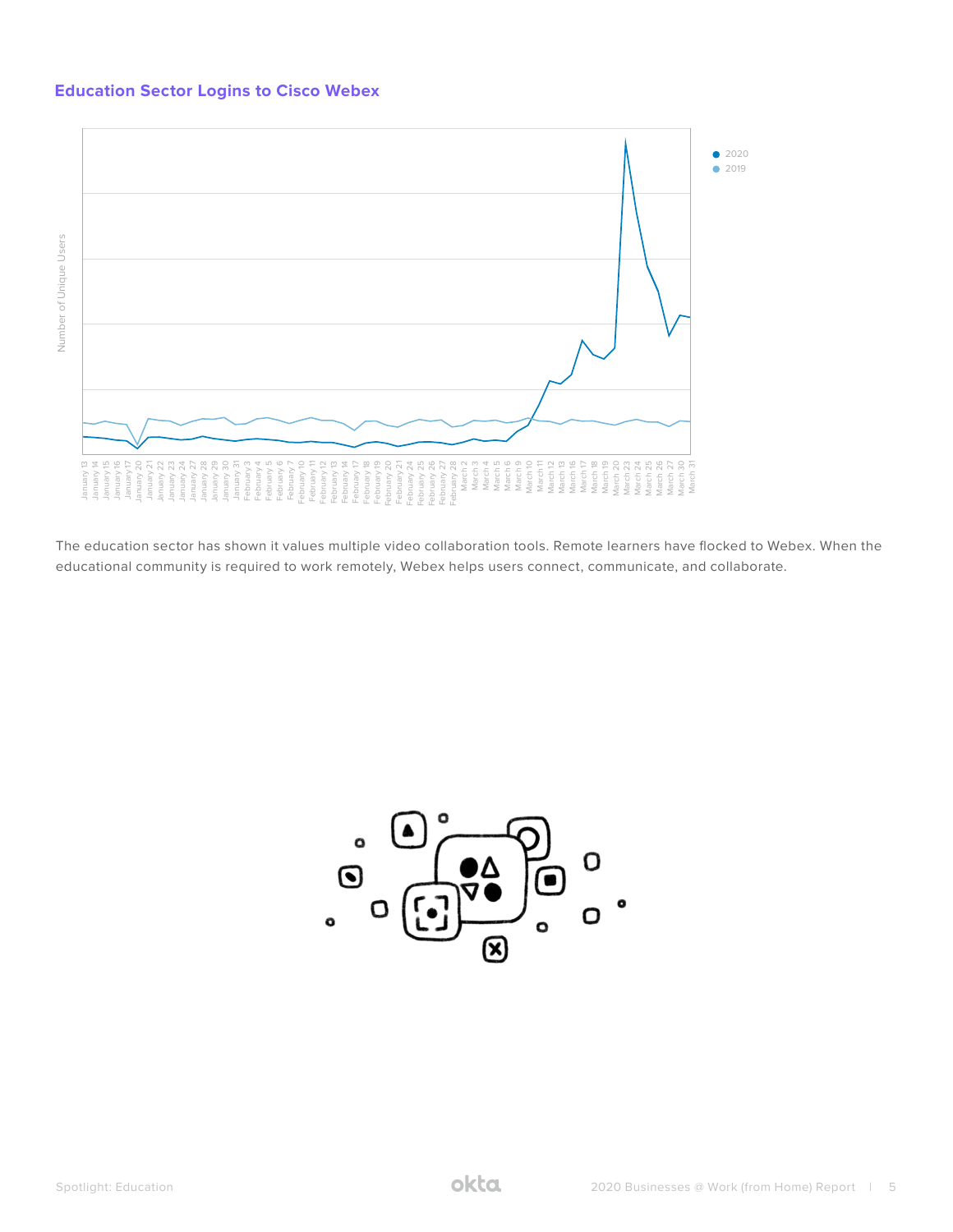#### **Education Sector Logins to Cisco Webex**



The education sector has shown it values multiple video collaboration tools. Remote learners have flocked to Webex. When the

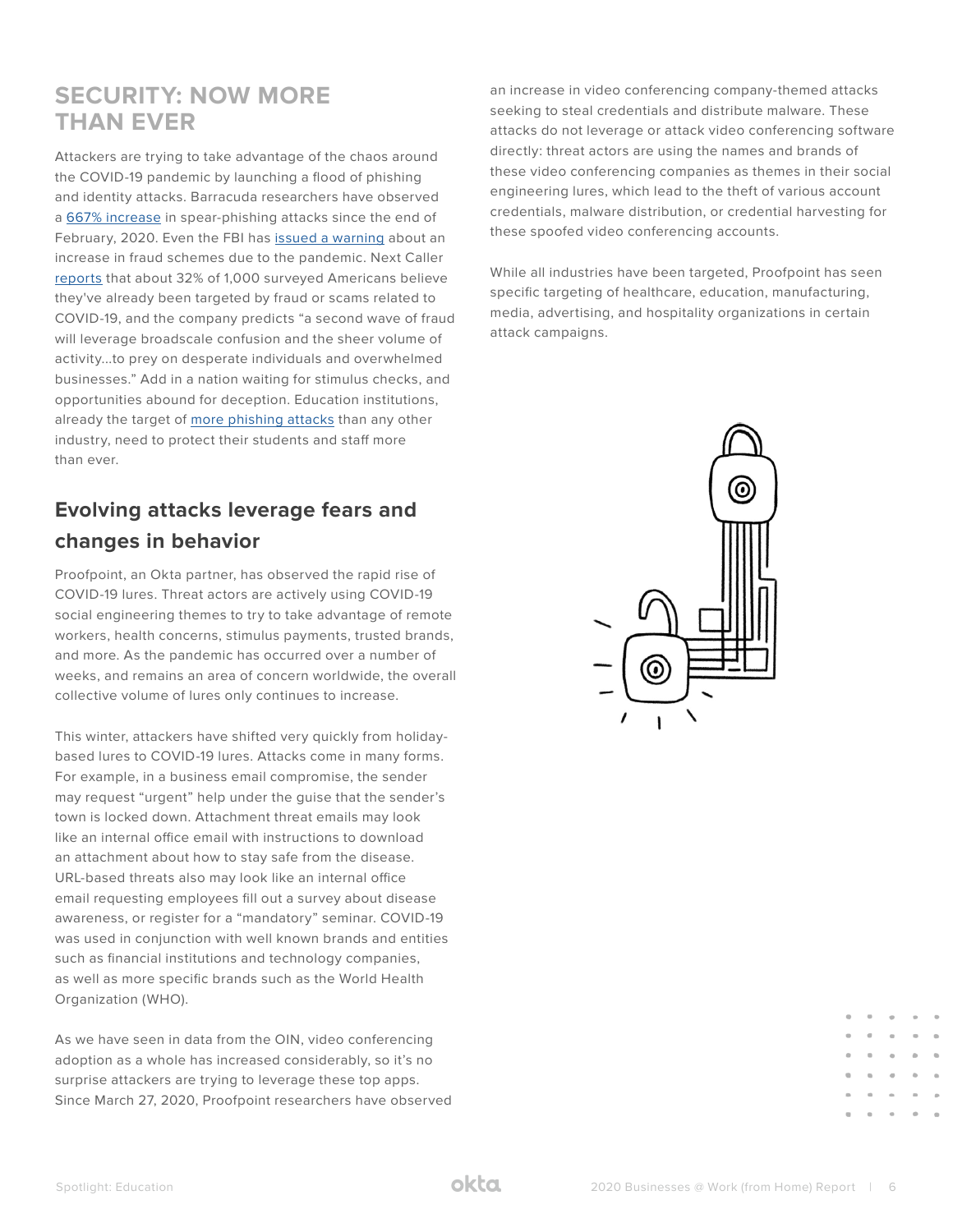## **SECURITY: NOW MORE THAN EVER**

Attackers are trying to take advantage of the chaos around the COVID-19 pandemic by launching a flood of phishing and identity attacks. Barracuda researchers have observed a [667% increase](https://www.barracuda.com/covid-19/email-protection?utm_source=blog&utm_medium=39755) in spear-phishing attacks since the end of February, 2020. Even the FBI has [issued a warning](https://www.ic3.gov/media/2020/200320.aspx) about an increase in fraud schemes due to the pandemic. Next Caller [reports](https://nextcaller.com/blog/next-caller-covid-19-fraud-report/) that about 32% of 1,000 surveyed Americans believe they've already been targeted by fraud or scams related to COVID-19, and the company predicts "a second wave of fraud will leverage broadscale confusion and the sheer volume of activity...to prey on desperate individuals and overwhelmed businesses." Add in a nation waiting for stimulus checks, and opportunities abound for deception. Education institutions, already the target of [more phishing attacks](https://enterprise.verizon.com/resources/executivebriefs/2019-dbir-executive-brief.pdf) than any other industry, need to protect their students and staff more than ever.

## **Evolving attacks leverage fears and changes in behavior**

Proofpoint, an Okta partner, has observed the rapid rise of COVID-19 lures. Threat actors are actively using COVID-19 social engineering themes to try to take advantage of remote workers, health concerns, stimulus payments, trusted brands, and more. As the pandemic has occurred over a number of weeks, and remains an area of concern worldwide, the overall collective volume of lures only continues to increase.

This winter, attackers have shifted very quickly from holidaybased lures to COVID-19 lures. Attacks come in many forms. For example, in a business email compromise, the sender may request "urgent" help under the guise that the sender's town is locked down. Attachment threat emails may look like an internal office email with instructions to download an attachment about how to stay safe from the disease. URL-based threats also may look like an internal office email requesting employees fill out a survey about disease awareness, or register for a "mandatory" seminar. COVID-19 was used in conjunction with well known brands and entities such as financial institutions and technology companies, as well as more specific brands such as the World Health Organization (WHO).

As we have seen in data from the OIN, video conferencing adoption as a whole has increased considerably, so it's no surprise attackers are trying to leverage these top apps. Since March 27, 2020, Proofpoint researchers have observed an increase in video conferencing company-themed attacks seeking to steal credentials and distribute malware. These attacks do not leverage or attack video conferencing software directly: threat actors are using the names and brands of these video conferencing companies as themes in their social engineering lures, which lead to the theft of various account credentials, malware distribution, or credential harvesting for these spoofed video conferencing accounts.

While all industries have been targeted, Proofpoint has seen specific targeting of healthcare, education, manufacturing, media, advertising, and hospitality organizations in certain attack campaigns.

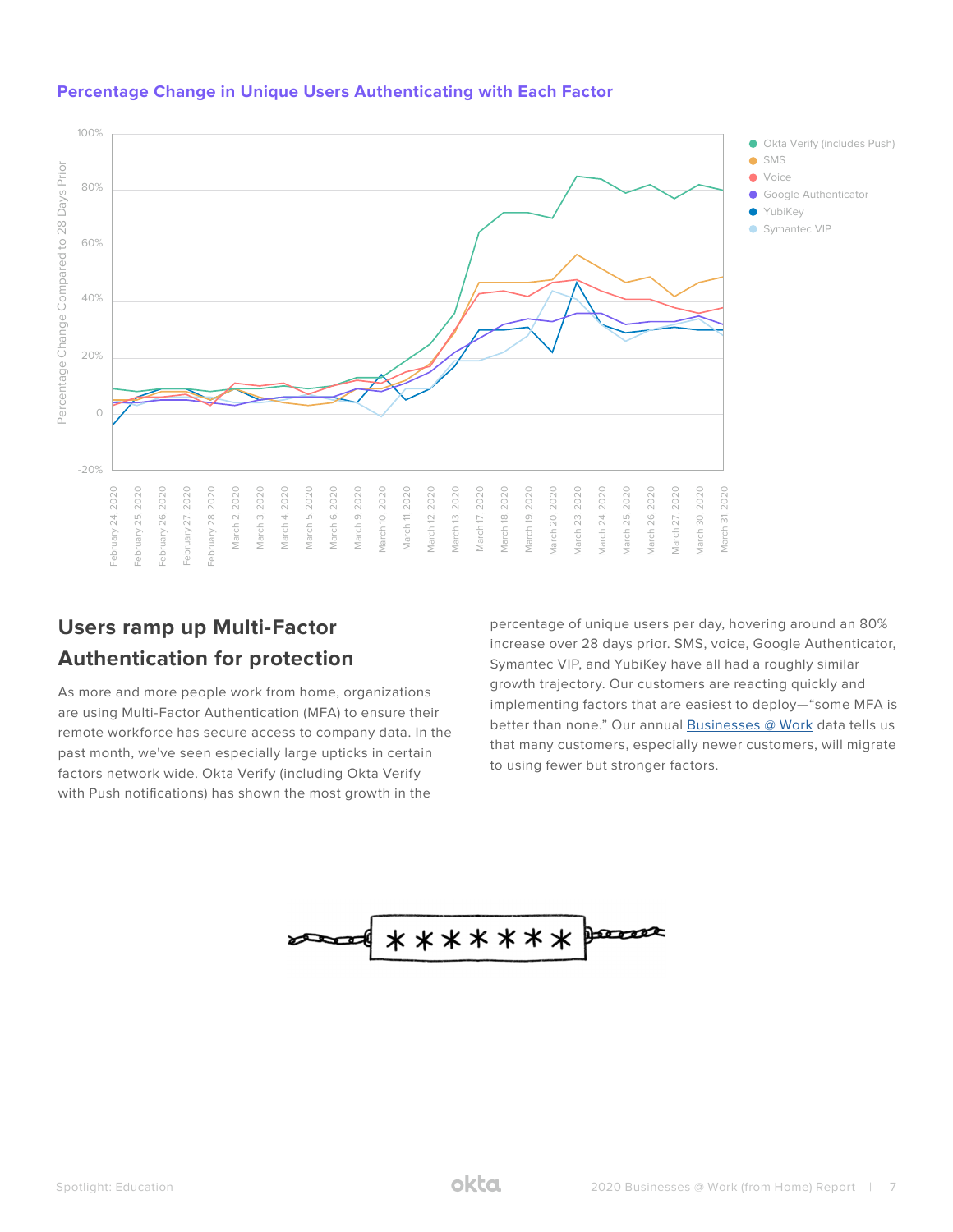

#### **Percentage Change in Unique Users Authenticating with Each Factor**

## **Users ramp up Multi-Factor Authentication for protection**

As more and more people work from home, organizations are using Multi-Factor Authentication (MFA) to ensure their remote workforce has secure access to company data. In the past month, we've seen especially large upticks in certain factors network wide. Okta Verify (including Okta Verify with Push notifications) has shown the most growth in the

percentage of unique users per day, hovering around an 80% increase over 28 days prior. SMS, voice, Google Authenticator, Symantec VIP, and YubiKey have all had a roughly similar growth trajectory. Our customers are reacting quickly and implementing factors that are easiest to deploy—"some MFA is better than none." Our annual **Businesses** @ Work data tells us that many customers, especially newer customers, will migrate to using fewer but stronger factors.

$$
\overbrace{\hspace{1.5cm}}^{\bullet}
$$